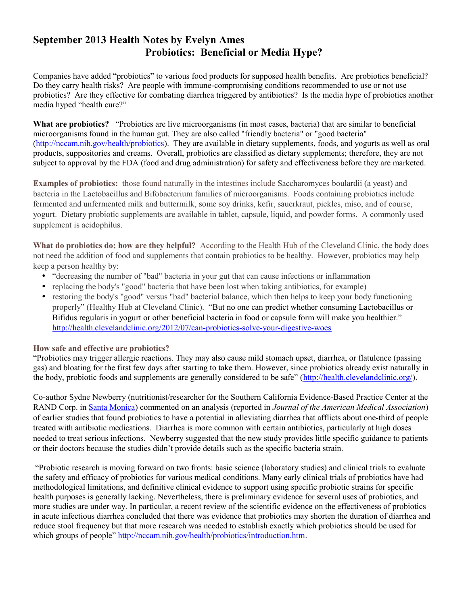## **September 2013 Health Notes by Evelyn Ames Probiotics: Beneficial or Media Hype?**

Companies have added "probiotics" to various food products for supposed health benefits. Are probiotics beneficial? Do they carry health risks? Are people with immune-compromising conditions recommended to use or not use probiotics? Are they effective for combating diarrhea triggered by antibiotics? Is the media hype of probiotics another media hyped "health cure?"

**What are probiotics?** "Probiotics are live microorganisms (in most cases, bacteria) that are similar to beneficial microorganisms found in the human gut. They are also called "friendly bacteria" or "good bacteria" [\(http://nccam.nih.gov/health/probiotics\)](http://nccam.nih.gov/health/probiotics). They are available in dietary supplements, foods, and yogurts as well as oral products, suppositories and creams. Overall, probiotics are classified as dietary supplements; therefore, they are not subject to approval by the FDA (food and drug administration) for safety and effectiveness before they are marketed.

**Examples of probiotics:** those found naturally in the intestines include Saccharomyces boulardii (a yeast) and bacteria in the Lactobacillus and Bifobacterium families of microorganisms. Foods containing probiotics include fermented and unfermented milk and buttermilk, some soy drinks, kefir, sauerkraut, pickles, miso, and of course, yogurt. Dietary probiotic supplements are available in tablet, capsule, liquid, and powder forms. A commonly used supplement is acidophilus.

**What do probiotics do; how are they helpful?** According to the Health Hub of the Cleveland Clinic, the body does not need the addition of food and supplements that contain probiotics to be healthy. However, probiotics may help keep a person healthy by:

- "decreasing the number of "bad" bacteria in your gut that can cause infections or inflammation
- replacing the body's "good" bacteria that have been lost when taking antibiotics, for example)
- restoring the body's "good" versus "bad" bacterial balance, which then helps to keep your body functioning properly" (Healthy Hub at Cleveland Clinic). "But no one can predict whether consuming Lactobacillus or Bifidus regularis in yogurt or other beneficial bacteria in food or capsule form will make you healthier." <http://health.clevelandclinic.org/2012/07/can-probiotics-solve-your-digestive-woes>

## **How safe and effective are probiotics?**

"Probiotics may trigger allergic reactions. They may also cause mild stomach upset, diarrhea, or flatulence (passing gas) and bloating for the first few days after starting to take them. However, since probiotics already exist naturally in the body, probiotic foods and supplements are generally considered to be safe" [\(http://health.clevelandclinic.org/\)](http://health.clevelandclinic.org/).

Co-author Sydne Newberry (nutritionist/researcher for the Southern California Evidence-Based Practice Center at the RAND Corp. in [Santa Monica\)](http://content.usatoday.com/topics/topic/Places,+Geography/Towns,+Cities,+Counties/Santa+Monica) commented on an analysis (reported in *Journal of the American Medical Association*) of earlier studies that found probiotics to have a potential in alleviating diarrhea that afflicts about one-third of people treated with antibiotic medications. Diarrhea is more common with certain antibiotics, particularly at high doses needed to treat serious infections. Newberry suggested that the new study provides little specific guidance to patients or their doctors because the studies didn't provide details such as the specific bacteria strain.

 "Probiotic research is moving forward on two fronts: basic science (laboratory studies) and clinical trials to evaluate the safety and efficacy of probiotics for various medical conditions. Many early clinical trials of probiotics have had methodological limitations, and definitive clinical evidence to support using specific probiotic strains for specific health purposes is generally lacking. Nevertheless, there is preliminary evidence for several uses of probiotics, and more studies are under way. In particular, a recent review of the scientific evidence on the effectiveness of probiotics in acute infectious diarrhea concluded that there was evidence that probiotics may shorten the duration of diarrhea and reduce stool frequency but that more research was needed to establish exactly which probiotics should be used for which groups of people" [http://nccam.nih.gov/health/probiotics/introduction.htm.](http://nccam.nih.gov/health/probiotics/introduction.htm)